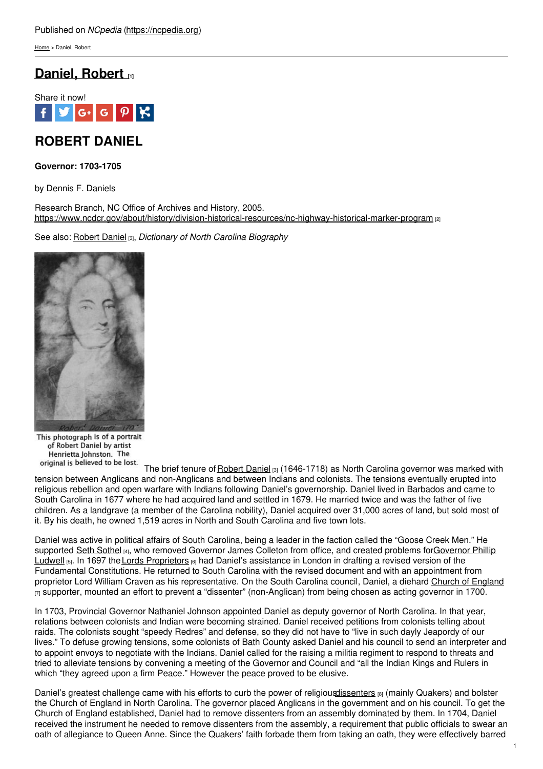[Home](https://ncpedia.org/) > Daniel, Robert

## **[Daniel,](https://ncpedia.org/daniel-robert) Robert [1]**



# **ROBERT DANIEL**

### **Governor: 1703-1705**

by Dennis F. Daniels

Research Branch, NC Office of Archives and History, 2005. <https://www.ncdcr.gov/about/history/division-historical-resources/nc-highway-historical-marker-program> [2]

See also: [Robert](https://ncpedia.org/biography/daniel-robert) Daniel [3], *Dictionary of North [Carolina](http://www.social9.com) Biography*



This photograph is of a portrait of Robert Daniel by artist Henrietta Johnston. The original is believed to be lost.

The brief tenure of [Robert](https://ncpedia.org/biography/daniel-robert) Daniel [3] (1646-1718) as North Carolina governor was marked with tension between Anglicans and non-Anglicans and between Indians and colonists. The tensions eventually erupted into religious rebellion and open warfare with Indians following Daniel's governorship. Daniel lived in Barbados and came to South Carolina in 1677 where he had acquired land and settled in 1679. He married twice and was the father of five children. As a landgrave (a member of the Carolina nobility), Daniel acquired over 31,000 acres of land, but sold most of it. By his death, he owned 1,519 acres in North and South Carolina and five town lots.

Daniel was active in political affairs of South Carolina, being a leader in the faction called the "Goose Creek Men." He supported Seth [Sothel](https://ncpedia.org/sothel-seth) [4], who removed Governor James Colleton from office, and created problems for Governor Phillip Ludwell [5]. In 1697 the Lords [Proprietors](https://ncpedia.org/lords-proprietors) [6] had Daniel's assistance in London in drafting a revised version of the Fundamental Constitutions. He returned to South Carolina with the revised document and with an appointment from proprietor Lord William Craven as his representative. On the South Carolina council, Daniel, a diehard Church of [England](https://ncpedia.org/church-england)  $_{[7]}$  supporter, mounted an effort to prevent a "dissenter" (non-Anglican) from being chosen as acting governor in 1700.

In 1703, Provincial Governor Nathaniel Johnson appointed Daniel as deputy governor of North Carolina. In that year, relations between colonists and Indian were becoming strained. Daniel received petitions from colonists telling about raids. The colonists sought "speedy Redres" and defense, so they did not have to "live in such dayly Jeapordy of our lives." To defuse growing tensions, some colonists of Bath County asked Daniel and his council to send an interpreter and to appoint envoys to negotiate with the Indians. Daniel called for the raising a militia regiment to respond to threats and tried to alleviate tensions by convening a meeting of the Governor and Council and "all the Indian Kings and Rulers in which "they agreed upon a firm Peace." However the peace proved to be elusive.

Daniel's greatest challenge came with his efforts to curb the power of religious dissenters [8] (mainly Quakers) and bolster the Church of England in North Carolina. The governor placed Anglicans in the government and on his council. To get the Church of England established, Daniel had to remove dissenters from an assembly dominated by them. In 1704, Daniel received the instrument he needed to remove dissenters from the assembly, a requirement that public officials to swear an oath of allegiance to Queen Anne. Since the Quakers' faith forbade them from taking an oath, they were effectively barred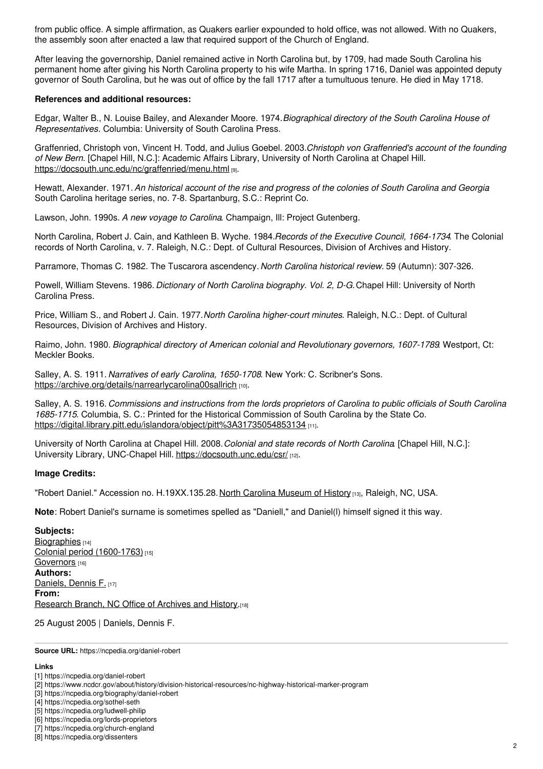from public office. A simple affirmation, as Quakers earlier expounded to hold office, was not allowed. With no Quakers, the assembly soon after enacted a law that required support of the Church of England.

After leaving the governorship, Daniel remained active in North Carolina but, by 1709, had made South Carolina his permanent home after giving his North Carolina property to his wife Martha. In spring 1716, Daniel was appointed deputy governor of South Carolina, but he was out of office by the fall 1717 after a tumultuous tenure. He died in May 1718.

#### **References and additional resources:**

Edgar, Walter B., N. Louise Bailey, and Alexander Moore. 1974.*Biographical directory of the South Carolina House of Representatives*. Columbia: University of South Carolina Press.

Graffenried, Christoph von, Vincent H. Todd, and Julius Goebel. 2003.*Christoph von Graffenried's account of the founding of New Bern*. [Chapel Hill, N.C.]: Academic Affairs Library, University of North Carolina at Chapel Hill. <https://docsouth.unc.edu/nc/graffenried/menu.html> [9].

Hewatt, Alexander. 1971. An historical account of the rise and progress of the colonies of South Carolina and Georgia South Carolina heritage series, no. 7-8. Spartanburg, S.C.: Reprint Co.

Lawson, John. 1990s. *A new voyage to Carolina*. Champaign, Ill: Project Gutenberg.

North Carolina, Robert J. Cain, and Kathleen B. Wyche. 1984.*Records of the Executive Council, 1664-1734*. The Colonial records of North Carolina, v. 7. Raleigh, N.C.: Dept. of Cultural Resources, Division of Archives and History.

Parramore, Thomas C. 1982. The Tuscarora ascendency. *North Carolina historical review.* 59 (Autumn): 307-326.

Powell, William Stevens. 1986. *Dictionary of North Carolina biography. Vol. 2, D-G.*Chapel Hill: University of North Carolina Press.

Price, William S., and Robert J. Cain. 1977.*North Carolina higher-court minutes*. Raleigh, N.C.: Dept. of Cultural Resources, Division of Archives and History.

Raimo, John. 1980. *Biographical directory of American colonial and Revolutionary governors, 1607-1789*. Westport, Ct: Meckler Books.

Salley, A. S. 1911. *Narratives of early Carolina, 1650-1708*. New York: C. Scribner's Sons. <https://archive.org/details/narrearlycarolina00sallrich> [10].

Salley, A. S. 1916. Commissions and instructions from the lords proprietors of Carolina to public officials of South Carolina *1685-1715*. Columbia, S. C.: Printed for the Historical Commission of South Carolina by the State Co. <https://digital.library.pitt.edu/islandora/object/pitt%3A31735054853134> [11].

University of North Carolina at Chapel Hill. 2008.*Colonial and state records of North Carolina*. [Chapel Hill, N.C.]: University Library, UNC-Chapel Hill. <https://docsouth.unc.edu/csr/> [12].

#### **Image Credits:**

"Robert Daniel." Accession no. H.19XX.135.28. North Carolina [Museum](https://www.ncmuseumofhistory.org/) of History [13], Raleigh, NC, USA.

**Note**: Robert Daniel's surname is sometimes spelled as "Daniell," and Daniel(l) himself signed it this way.

**Subjects:** [Biographies](https://ncpedia.org/category/subjects/biography-term) [14] Colonial period [\(1600-1763\)](https://ncpedia.org/category/subjects/colonial-period) [15] [Governors](https://ncpedia.org/category/subjects/governors) [16] **Authors:** [Daniels,](https://ncpedia.org/category/authors/daniels-dennis-f) Dennis F. [17] **From:** [Research](https://ncpedia.org/category/entry-source/research-bran) Branch, NC Office of Archives and History.[18]

25 August 2005 | Daniels, Dennis F.

**Source URL:** https://ncpedia.org/daniel-robert

#### **Links**

[3] https://ncpedia.org/biography/daniel-robert

<sup>[1]</sup> https://ncpedia.org/daniel-robert

<sup>[2]</sup> https://www.ncdcr.gov/about/history/division-historical-resources/nc-highway-historical-marker-program

<sup>[4]</sup> https://ncpedia.org/sothel-seth

<sup>[5]</sup> https://ncpedia.org/ludwell-philip

<sup>[6]</sup> https://ncpedia.org/lords-proprietors

<sup>[7]</sup> https://ncpedia.org/church-england

<sup>[8]</sup> https://ncpedia.org/dissenters